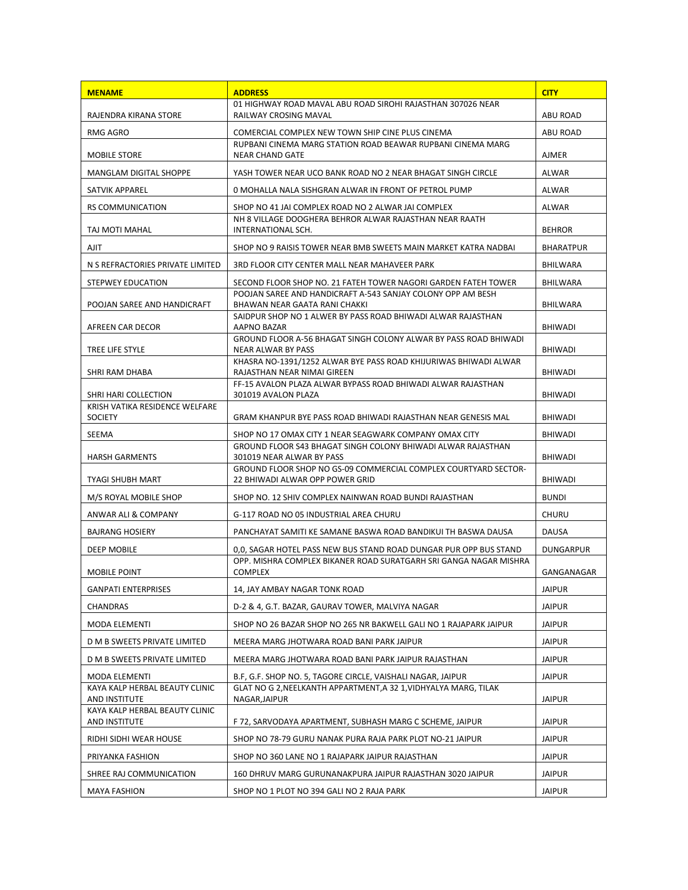| <b>MENAME</b>                                    | <b>ADDRESS</b>                                                                                     | <b>CITY</b>      |
|--------------------------------------------------|----------------------------------------------------------------------------------------------------|------------------|
| RAJENDRA KIRANA STORE                            | 01 HIGHWAY ROAD MAVAL ABU ROAD SIROHI RAJASTHAN 307026 NEAR<br>RAILWAY CROSING MAVAL               | ABU ROAD         |
| RMG AGRO                                         | COMERCIAL COMPLEX NEW TOWN SHIP CINE PLUS CINEMA                                                   | ABU ROAD         |
| MOBILE STORE                                     | RUPBANI CINEMA MARG STATION ROAD BEAWAR RUPBANI CINEMA MARG<br><b>NEAR CHAND GATE</b>              | <b>AJMER</b>     |
| MANGLAM DIGITAL SHOPPE                           | YASH TOWER NEAR UCO BANK ROAD NO 2 NEAR BHAGAT SINGH CIRCLE                                        | ALWAR            |
| SATVIK APPAREL                                   | O MOHALLA NALA SISHGRAN ALWAR IN FRONT OF PETROL PUMP                                              | ALWAR            |
| <b>RS COMMUNICATION</b>                          | SHOP NO 41 JAI COMPLEX ROAD NO 2 ALWAR JAI COMPLEX                                                 | ALWAR            |
| TAJ MOTI MAHAL                                   | NH 8 VILLAGE DOOGHERA BEHROR ALWAR RAJASTHAN NEAR RAATH<br>INTERNATIONAL SCH.                      | <b>BEHROR</b>    |
| AJIT                                             | SHOP NO 9 RAISIS TOWER NEAR BMB SWEETS MAIN MARKET KATRA NADBAI                                    | <b>BHARATPUR</b> |
| N S REFRACTORIES PRIVATE LIMITED                 | 3RD FLOOR CITY CENTER MALL NEAR MAHAVEER PARK                                                      | BHILWARA         |
| STEPWEY EDUCATION                                | SECOND FLOOR SHOP NO. 21 FATEH TOWER NAGORI GARDEN FATEH TOWER                                     | <b>BHILWARA</b>  |
| POOJAN SAREE AND HANDICRAFT                      | POOJAN SAREE AND HANDICRAFT A-543 SANJAY COLONY OPP AM BESH<br>BHAWAN NEAR GAATA RANI CHAKKI       | BHILWARA         |
|                                                  | SAIDPUR SHOP NO 1 ALWER BY PASS ROAD BHIWADI ALWAR RAJASTHAN                                       | <b>BHIWADI</b>   |
| AFREEN CAR DECOR                                 | AAPNO BAZAR<br>GROUND FLOOR A-56 BHAGAT SINGH COLONY ALWAR BY PASS ROAD BHIWADI                    |                  |
| TREE LIFE STYLE                                  | NEAR ALWAR BY PASS<br>KHASRA NO-1391/1252 ALWAR BYE PASS ROAD KHIJURIWAS BHIWADI ALWAR             | BHIWADI          |
| SHRI RAM DHABA                                   | RAJASTHAN NEAR NIMAI GIREEN<br>FF-15 AVALON PLAZA ALWAR BYPASS ROAD BHIWADI ALWAR RAJASTHAN        | BHIWADI          |
| SHRI HARI COLLECTION                             | 301019 AVALON PLAZA                                                                                | <b>BHIWADI</b>   |
| KRISH VATIKA RESIDENCE WELFARE<br><b>SOCIETY</b> | GRAM KHANPUR BYE PASS ROAD BHIWADI RAJASTHAN NEAR GENESIS MAL                                      | BHIWADI          |
| SEEMA                                            | SHOP NO 17 OMAX CITY 1 NEAR SEAGWARK COMPANY OMAX CITY                                             | BHIWADI          |
| <b>HARSH GARMENTS</b>                            | GROUND FLOOR S43 BHAGAT SINGH COLONY BHIWADI ALWAR RAJASTHAN<br>301019 NEAR ALWAR BY PASS          | BHIWADI          |
| <b>TYAGI SHUBH MART</b>                          | GROUND FLOOR SHOP NO GS-09 COMMERCIAL COMPLEX COURTYARD SECTOR-<br>22 BHIWADI ALWAR OPP POWER GRID | BHIWADI          |
| M/S ROYAL MOBILE SHOP                            | SHOP NO. 12 SHIV COMPLEX NAINWAN ROAD BUNDI RAJASTHAN                                              | <b>BUNDI</b>     |
| ANWAR ALI & COMPANY                              | G-117 ROAD NO 05 INDUSTRIAL AREA CHURU                                                             | <b>CHURU</b>     |
| <b>BAJRANG HOSIERY</b>                           | PANCHAYAT SAMITI KE SAMANE BASWA ROAD BANDIKUI TH BASWA DAUSA                                      | DAUSA            |
| DEEP MOBILE                                      | 0,0, SAGAR HOTEL PASS NEW BUS STAND ROAD DUNGAR PUR OPP BUS STAND                                  | DUNGARPUR        |
| <b>MOBILE POINT</b>                              | OPP. MISHRA COMPLEX BIKANER ROAD SURATGARH SRI GANGA NAGAR MISHRA<br><b>COMPLEX</b>                | GANGANAGAR       |
| GANPATI ENTERPRISES                              | 14, JAY AMBAY NAGAR TONK ROAD                                                                      | <b>JAIPUR</b>    |
| <b>CHANDRAS</b>                                  | D-2 & 4, G.T. BAZAR, GAURAV TOWER, MALVIYA NAGAR                                                   | <b>JAIPUR</b>    |
| MODA ELEMENTI                                    | SHOP NO 26 BAZAR SHOP NO 265 NR BAKWELL GALI NO 1 RAJAPARK JAIPUR                                  | <b>JAIPUR</b>    |
| D M B SWEETS PRIVATE LIMITED                     | MEERA MARG JHOTWARA ROAD BANI PARK JAIPUR                                                          | <b>JAIPUR</b>    |
| D M B SWEETS PRIVATE LIMITED                     | MEERA MARG JHOTWARA ROAD BANI PARK JAIPUR RAJASTHAN                                                | <b>JAIPUR</b>    |
| MODA ELEMENTI                                    | B.F, G.F. SHOP NO. 5, TAGORE CIRCLE, VAISHALI NAGAR, JAIPUR                                        | <b>JAIPUR</b>    |
| KAYA KALP HERBAL BEAUTY CLINIC<br>AND INSTITUTE  | GLAT NO G 2, NEELKANTH APPARTMENT, A 32 1, VIDHYALYA MARG, TILAK<br>NAGAR, JAIPUR                  | <b>JAIPUR</b>    |
| KAYA KALP HERBAL BEAUTY CLINIC<br>AND INSTITUTE  | F 72, SARVODAYA APARTMENT, SUBHASH MARG C SCHEME, JAIPUR                                           | <b>JAIPUR</b>    |
| RIDHI SIDHI WEAR HOUSE                           | SHOP NO 78-79 GURU NANAK PURA RAJA PARK PLOT NO-21 JAIPUR                                          | <b>JAIPUR</b>    |
| PRIYANKA FASHION                                 | SHOP NO 360 LANE NO 1 RAJAPARK JAIPUR RAJASTHAN                                                    | <b>JAIPUR</b>    |
| SHREE RAJ COMMUNICATION                          | 160 DHRUV MARG GURUNANAKPURA JAIPUR RAJASTHAN 3020 JAIPUR                                          | <b>JAIPUR</b>    |
| <b>MAYA FASHION</b>                              | SHOP NO 1 PLOT NO 394 GALI NO 2 RAJA PARK                                                          | <b>JAIPUR</b>    |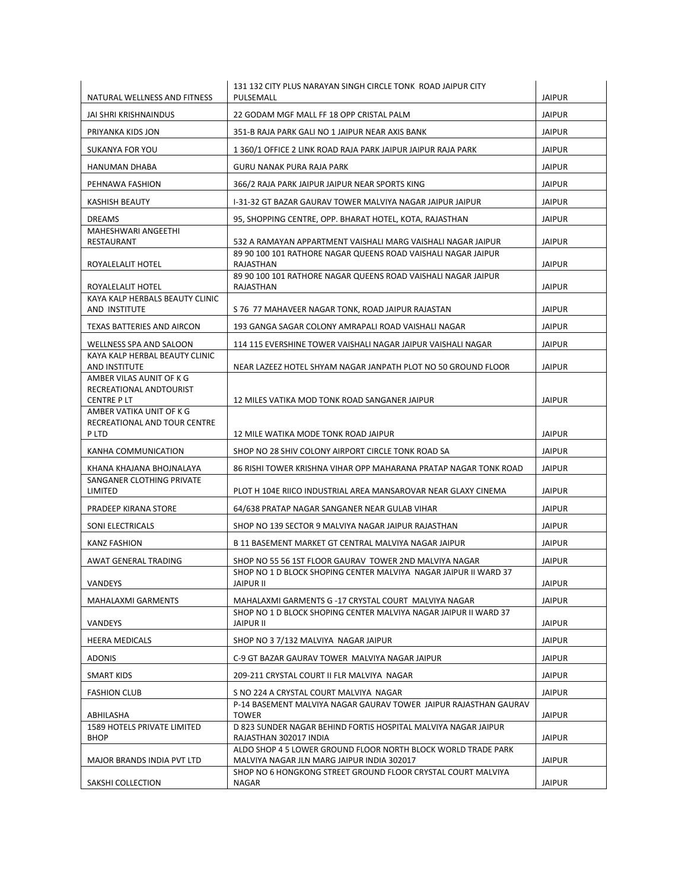| NATURAL WELLNESS AND FITNESS                          | 131 132 CITY PLUS NARAYAN SINGH CIRCLE TONK ROAD JAIPUR CITY<br>PULSEMALL                                                | <b>JAIPUR</b> |
|-------------------------------------------------------|--------------------------------------------------------------------------------------------------------------------------|---------------|
| JAI SHRI KRISHNAINDUS                                 | 22 GODAM MGF MALL FF 18 OPP CRISTAL PALM                                                                                 | <b>JAIPUR</b> |
| PRIYANKA KIDS JON                                     | 351-B RAJA PARK GALI NO 1 JAIPUR NEAR AXIS BANK                                                                          | <b>JAIPUR</b> |
| <b>SUKANYA FOR YOU</b>                                | 1 360/1 OFFICE 2 LINK ROAD RAJA PARK JAIPUR JAIPUR RAJA PARK                                                             | <b>JAIPUR</b> |
|                                                       |                                                                                                                          |               |
| HANUMAN DHABA                                         | GURU NANAK PURA RAJA PARK                                                                                                | <b>JAIPUR</b> |
| PEHNAWA FASHION                                       | 366/2 RAJA PARK JAIPUR JAIPUR NEAR SPORTS KING                                                                           | <b>JAIPUR</b> |
| <b>KASHISH BEAUTY</b>                                 | I-31-32 GT BAZAR GAURAV TOWER MALVIYA NAGAR JAIPUR JAIPUR                                                                | <b>JAIPUR</b> |
| <b>DREAMS</b><br>MAHESHWARI ANGEETHI                  | 95, SHOPPING CENTRE, OPP. BHARAT HOTEL, KOTA, RAJASTHAN                                                                  | <b>JAIPUR</b> |
| RESTAURANT                                            | 532 A RAMAYAN APPARTMENT VAISHALI MARG VAISHALI NAGAR JAIPUR                                                             | <b>JAIPUR</b> |
| ROYALELALIT HOTEL                                     | 89 90 100 101 RATHORE NAGAR QUEENS ROAD VAISHALI NAGAR JAIPUR<br>RAJASTHAN                                               | <b>JAIPUR</b> |
|                                                       | 89 90 100 101 RATHORE NAGAR QUEENS ROAD VAISHALI NAGAR JAIPUR                                                            |               |
| ROYALELALIT HOTEL<br>KAYA KALP HERBALS BEAUTY CLINIC  | RAJASTHAN                                                                                                                | <b>JAIPUR</b> |
| AND INSTITUTE                                         | S 76 77 MAHAVEER NAGAR TONK, ROAD JAIPUR RAJASTAN                                                                        | <b>JAIPUR</b> |
| TEXAS BATTERIES AND AIRCON                            | 193 GANGA SAGAR COLONY AMRAPALI ROAD VAISHALI NAGAR                                                                      | <b>JAIPUR</b> |
| WELLNESS SPA AND SALOON                               | 114 115 EVERSHINE TOWER VAISHALI NAGAR JAIPUR VAISHALI NAGAR                                                             | <b>JAIPUR</b> |
| KAYA KALP HERBAL BEAUTY CLINIC                        |                                                                                                                          |               |
| AND INSTITUTE<br>AMBER VILAS AUNIT OF K G             | NEAR LAZEEZ HOTEL SHYAM NAGAR JANPATH PLOT NO 50 GROUND FLOOR                                                            | <b>JAIPUR</b> |
| RECREATIONAL ANDTOURIST                               |                                                                                                                          |               |
| CENTRE P LT<br>AMBER VATIKA UNIT OF K G               | 12 MILES VATIKA MOD TONK ROAD SANGANER JAIPUR                                                                            | <b>JAIPUR</b> |
| RECREATIONAL AND TOUR CENTRE                          |                                                                                                                          |               |
| P LTD                                                 | 12 MILE WATIKA MODE TONK ROAD JAIPUR                                                                                     | <b>JAIPUR</b> |
| KANHA COMMUNICATION                                   | SHOP NO 28 SHIV COLONY AIRPORT CIRCLE TONK ROAD SA                                                                       | <b>JAIPUR</b> |
| KHANA KHAJANA BHOJNALAYA<br>SANGANER CLOTHING PRIVATE | 86 RISHI TOWER KRISHNA VIHAR OPP MAHARANA PRATAP NAGAR TONK ROAD                                                         | <b>JAIPUR</b> |
| LIMITED                                               | PLOT H 104E RIICO INDUSTRIAL AREA MANSAROVAR NEAR GLAXY CINEMA                                                           | <b>JAIPUR</b> |
| PRADEEP KIRANA STORE                                  | 64/638 PRATAP NAGAR SANGANER NEAR GULAB VIHAR                                                                            | <b>JAIPUR</b> |
| <b>SONI ELECTRICALS</b>                               | SHOP NO 139 SECTOR 9 MALVIYA NAGAR JAIPUR RAJASTHAN                                                                      | <b>JAIPUR</b> |
| <b>KANZ FASHION</b>                                   | B 11 BASEMENT MARKET GT CENTRAL MALVIYA NAGAR JAIPUR                                                                     | <b>JAIPUR</b> |
| AWAT GENERAL TRADING                                  | SHOP NO 55 56 1ST FLOOR GAURAV TOWER 2ND MALVIYA NAGAR                                                                   | <b>JAIPUR</b> |
| VANDEYS                                               | SHOP NO 1 D BLOCK SHOPING CENTER MALVIYA NAGAR JAIPUR II WARD 37                                                         | <b>JAIPUR</b> |
|                                                       | JAIPUR II                                                                                                                |               |
| MAHALAXMI GARMENTS                                    | MAHALAXMI GARMENTS G -17 CRYSTAL COURT MALVIYA NAGAR<br>SHOP NO 1 D BLOCK SHOPING CENTER MALVIYA NAGAR JAIPUR II WARD 37 | <b>JAIPUR</b> |
| VANDEYS                                               | JAIPUR II                                                                                                                | <b>JAIPUR</b> |
| <b>HEERA MEDICALS</b>                                 | SHOP NO 3 7/132 MALVIYA NAGAR JAIPUR                                                                                     | <b>JAIPUR</b> |
| <b>ADONIS</b>                                         | C-9 GT BAZAR GAURAV TOWER MALVIYA NAGAR JAIPUR                                                                           | <b>JAIPUR</b> |
| SMART KIDS                                            | 209-211 CRYSTAL COURT II FLR MALVIYA NAGAR                                                                               | <b>JAIPUR</b> |
| <b>FASHION CLUB</b>                                   | S NO 224 A CRYSTAL COURT MALVIYA NAGAR                                                                                   | <b>JAIPUR</b> |
| ABHILASHA                                             | P-14 BASEMENT MALVIYA NAGAR GAURAV TOWER JAIPUR RAJASTHAN GAURAV<br><b>TOWER</b>                                         | JAIPUR        |
| <b>1589 HOTELS PRIVATE LIMITED</b>                    | D 823 SUNDER NAGAR BEHIND FORTIS HOSPITAL MALVIYA NAGAR JAIPUR                                                           |               |
| <b>BHOP</b>                                           | RAJASTHAN 302017 INDIA<br>ALDO SHOP 4 5 LOWER GROUND FLOOR NORTH BLOCK WORLD TRADE PARK                                  | <b>JAIPUR</b> |
| MAJOR BRANDS INDIA PVT LTD                            | MALVIYA NAGAR JLN MARG JAIPUR INDIA 302017                                                                               | <b>JAIPUR</b> |
| SAKSHI COLLECTION                                     | SHOP NO 6 HONGKONG STREET GROUND FLOOR CRYSTAL COURT MALVIYA<br>NAGAR                                                    | <b>JAIPUR</b> |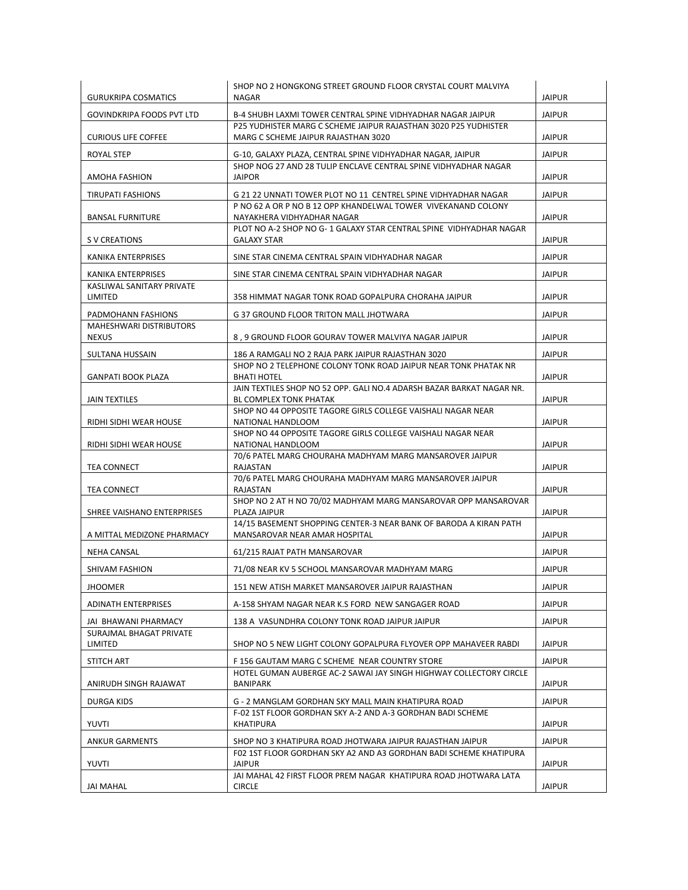| <b>GURUKRIPA COSMATICS</b>           | SHOP NO 2 HONGKONG STREET GROUND FLOOR CRYSTAL COURT MALVIYA<br>NAGAR                                                          | <b>JAIPUR</b> |
|--------------------------------------|--------------------------------------------------------------------------------------------------------------------------------|---------------|
|                                      |                                                                                                                                |               |
| GOVINDKRIPA FOODS PVT LTD            | B-4 SHUBH LAXMI TOWER CENTRAL SPINE VIDHYADHAR NAGAR JAIPUR<br>P25 YUDHISTER MARG C SCHEME JAIPUR RAJASTHAN 3020 P25 YUDHISTER | <b>JAIPUR</b> |
| <b>CURIOUS LIFE COFFEE</b>           | MARG C SCHEME JAIPUR RAJASTHAN 3020                                                                                            | <b>JAIPUR</b> |
| ROYAL STEP                           | G-10, GALAXY PLAZA, CENTRAL SPINE VIDHYADHAR NAGAR, JAIPUR                                                                     | <b>JAIPUR</b> |
| AMOHA FASHION                        | SHOP NOG 27 AND 28 TULIP ENCLAVE CENTRAL SPINE VIDHYADHAR NAGAR<br><b>JAIPOR</b>                                               | <b>JAIPUR</b> |
| TIRUPATI FASHIONS                    | G 21 22 UNNATI TOWER PLOT NO 11 CENTREL SPINE VIDHYADHAR NAGAR                                                                 | <b>JAIPUR</b> |
| <b>BANSAL FURNITURE</b>              | P NO 62 A OR P NO B 12 OPP KHANDELWAL TOWER VIVEKANAND COLONY<br>NAYAKHERA VIDHYADHAR NAGAR                                    | <b>JAIPUR</b> |
| S V CREATIONS                        | PLOT NO A-2 SHOP NO G-1 GALAXY STAR CENTRAL SPINE VIDHYADHAR NAGAR<br><b>GALAXY STAR</b>                                       | <b>JAIPUR</b> |
| KANIKA ENTERPRISES                   | SINE STAR CINEMA CENTRAL SPAIN VIDHYADHAR NAGAR                                                                                | <b>JAIPUR</b> |
| KANIKA ENTERPRISES                   | SINE STAR CINEMA CENTRAL SPAIN VIDHYADHAR NAGAR                                                                                | <b>JAIPUR</b> |
| KASLIWAL SANITARY PRIVATE<br>LIMITED | 358 HIMMAT NAGAR TONK ROAD GOPALPURA CHORAHA JAIPUR                                                                            | <b>JAIPUR</b> |
| PADMOHANN FASHIONS                   | G 37 GROUND FLOOR TRITON MALL JHOTWARA                                                                                         | <b>JAIPUR</b> |
| MAHESHWARI DISTRIBUTORS              |                                                                                                                                |               |
| NEXUS                                | 8, 9 GROUND FLOOR GOURAV TOWER MALVIYA NAGAR JAIPUR                                                                            | <b>JAIPUR</b> |
| SULTANA HUSSAIN                      | 186 A RAMGALI NO 2 RAJA PARK JAIPUR RAJASTHAN 3020                                                                             | <b>JAIPUR</b> |
| GANPATI BOOK PLAZA                   | SHOP NO 2 TELEPHONE COLONY TONK ROAD JAIPUR NEAR TONK PHATAK NR<br><b>BHATI HOTEL</b>                                          | <b>JAIPUR</b> |
| <b>JAIN TEXTILES</b>                 | JAIN TEXTILES SHOP NO 52 OPP. GALI NO.4 ADARSH BAZAR BARKAT NAGAR NR.<br>BL COMPLEX TONK PHATAK                                | <b>JAIPUR</b> |
|                                      | SHOP NO 44 OPPOSITE TAGORE GIRLS COLLEGE VAISHALI NAGAR NEAR                                                                   |               |
| RIDHI SIDHI WEAR HOUSE               | NATIONAL HANDLOOM<br>SHOP NO 44 OPPOSITE TAGORE GIRLS COLLEGE VAISHALI NAGAR NEAR                                              | <b>JAIPUR</b> |
| RIDHI SIDHI WEAR HOUSE               | NATIONAL HANDLOOM                                                                                                              | <b>JAIPUR</b> |
| TEA CONNECT                          | 70/6 PATEL MARG CHOURAHA MADHYAM MARG MANSAROVER JAIPUR<br>RAJASTAN                                                            | <b>JAIPUR</b> |
| TEA CONNECT                          | 70/6 PATEL MARG CHOURAHA MADHYAM MARG MANSAROVER JAIPUR<br>RAJASTAN                                                            | <b>JAIPUR</b> |
| SHREE VAISHANO ENTERPRISES           | SHOP NO 2 AT H NO 70/02 MADHYAM MARG MANSAROVAR OPP MANSAROVAR<br>PLAZA JAIPUR                                                 | <b>JAIPUR</b> |
| A MITTAL MEDIZONE PHARMACY           | 14/15 BASEMENT SHOPPING CENTER-3 NEAR BANK OF BARODA A KIRAN PATH<br>MANSAROVAR NEAR AMAR HOSPITAL                             | <b>JAIPUR</b> |
| <b>NEHA CANSAL</b>                   | 61/215 RAJAT PATH MANSAROVAR                                                                                                   | <b>JAIPUR</b> |
| SHIVAM FASHION                       | 71/08 NEAR KV 5 SCHOOL MANSAROVAR MADHYAM MARG                                                                                 | <b>JAIPUR</b> |
| <b>JHOOMER</b>                       | 151 NEW ATISH MARKET MANSAROVER JAIPUR RAJASTHAN                                                                               | <b>JAIPUR</b> |
| <b>ADINATH ENTERPRISES</b>           | A-158 SHYAM NAGAR NEAR K.S FORD NEW SANGAGER ROAD                                                                              | <b>JAIPUR</b> |
| JAI BHAWANI PHARMACY                 | 138 A VASUNDHRA COLONY TONK ROAD JAIPUR JAIPUR                                                                                 | <b>JAIPUR</b> |
| SURAJMAL BHAGAT PRIVATE<br>LIMITED   | SHOP NO 5 NEW LIGHT COLONY GOPALPURA FLYOVER OPP MAHAVEER RABDI                                                                | <b>JAIPUR</b> |
| <b>STITCH ART</b>                    | F 156 GAUTAM MARG C SCHEME NEAR COUNTRY STORE                                                                                  | <b>JAIPUR</b> |
|                                      | HOTEL GUMAN AUBERGE AC-2 SAWAI JAY SINGH HIGHWAY COLLECTORY CIRCLE                                                             |               |
| ANIRUDH SINGH RAJAWAT                | BANIPARK                                                                                                                       | <b>JAIPUR</b> |
| DURGA KIDS                           | G - 2 MANGLAM GORDHAN SKY MALL MAIN KHATIPURA ROAD                                                                             | <b>JAIPUR</b> |
| <b>YUVTI</b>                         | F-02 1ST FLOOR GORDHAN SKY A-2 AND A-3 GORDHAN BADI SCHEME<br>KHATIPURA                                                        | <b>JAIPUR</b> |
| <b>ANKUR GARMENTS</b>                | SHOP NO 3 KHATIPURA ROAD JHOTWARA JAIPUR RAJASTHAN JAIPUR                                                                      | <b>JAIPUR</b> |
| YUVTI                                | F02 1ST FLOOR GORDHAN SKY A2 AND A3 GORDHAN BADI SCHEME KHATIPURA<br><b>JAIPUR</b>                                             | <b>JAIPUR</b> |
|                                      | JAI MAHAL 42 FIRST FLOOR PREM NAGAR KHATIPURA ROAD JHOTWARA LATA                                                               |               |
| JAI MAHAL                            | <b>CIRCLE</b>                                                                                                                  | <b>JAIPUR</b> |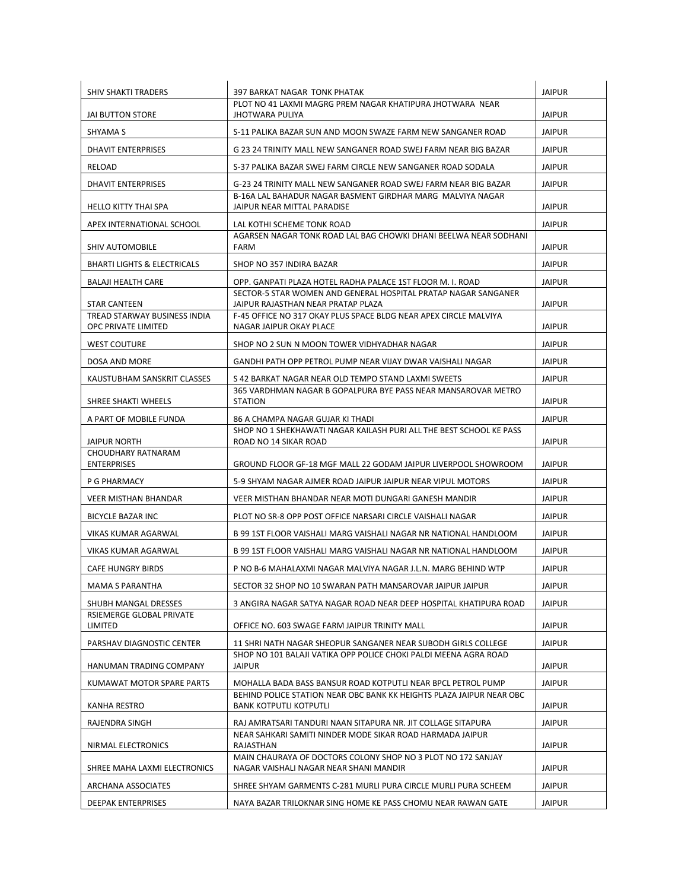| <b>SHIV SHAKTI TRADERS</b>                   | <b>397 BARKAT NAGAR TONK PHATAK</b>                                                                    | <b>JAIPUR</b> |
|----------------------------------------------|--------------------------------------------------------------------------------------------------------|---------------|
| JAI BUTTON STORE                             | PLOT NO 41 LAXMI MAGRG PREM NAGAR KHATIPURA JHOTWARA NEAR<br><b>JHOTWARA PULIYA</b>                    | <b>JAIPUR</b> |
| SHYAMA S                                     | S-11 PALIKA BAZAR SUN AND MOON SWAZE FARM NEW SANGANER ROAD                                            | <b>JAIPUR</b> |
| <b>DHAVIT ENTERPRISES</b>                    | G 23 24 TRINITY MALL NEW SANGANER ROAD SWEJ FARM NEAR BIG BAZAR                                        | <b>JAIPUR</b> |
| RELOAD                                       | S-37 PALIKA BAZAR SWEJ FARM CIRCLE NEW SANGANER ROAD SODALA                                            | <b>JAIPUR</b> |
| <b>DHAVIT ENTERPRISES</b>                    | G-23 24 TRINITY MALL NEW SANGANER ROAD SWEJ FARM NEAR BIG BAZAR                                        | <b>JAIPUR</b> |
|                                              | B-16A LAL BAHADUR NAGAR BASMENT GIRDHAR MARG MALVIYA NAGAR                                             |               |
| <b>HELLO KITTY THAI SPA</b>                  | JAIPUR NEAR MITTAL PARADISE                                                                            | <b>JAIPUR</b> |
| APEX INTERNATIONAL SCHOOL                    | LAL KOTHI SCHEME TONK ROAD<br>AGARSEN NAGAR TONK ROAD LAL BAG CHOWKI DHANI BEELWA NEAR SODHANI         | <b>JAIPUR</b> |
| <b>SHIV AUTOMOBILE</b>                       | FARM                                                                                                   | <b>JAIPUR</b> |
| <b>BHARTI LIGHTS &amp; ELECTRICALS</b>       | SHOP NO 357 INDIRA BAZAR                                                                               | <b>JAIPUR</b> |
| <b>BALAJI HEALTH CARE</b>                    | OPP. GANPATI PLAZA HOTEL RADHA PALACE 1ST FLOOR M. I. ROAD                                             | <b>JAIPUR</b> |
|                                              | SECTOR-5 STAR WOMEN AND GENERAL HOSPITAL PRATAP NAGAR SANGANER                                         |               |
| STAR CANTEEN<br>TREAD STARWAY BUSINESS INDIA | JAIPUR RAJASTHAN NEAR PRATAP PLAZA<br>F-45 OFFICE NO 317 OKAY PLUS SPACE BLDG NEAR APEX CIRCLE MALVIYA | <b>JAIPUR</b> |
| OPC PRIVATE LIMITED                          | NAGAR JAIPUR OKAY PLACE                                                                                | <b>JAIPUR</b> |
| <b>WEST COUTURE</b>                          | SHOP NO 2 SUN N MOON TOWER VIDHYADHAR NAGAR                                                            | <b>JAIPUR</b> |
| DOSA AND MORE                                | GANDHI PATH OPP PETROL PUMP NEAR VIJAY DWAR VAISHALI NAGAR                                             | <b>JAIPUR</b> |
| KAUSTUBHAM SANSKRIT CLASSES                  | S 42 BARKAT NAGAR NEAR OLD TEMPO STAND LAXMI SWEETS                                                    | <b>JAIPUR</b> |
| SHREE SHAKTI WHEELS                          | 365 VARDHMAN NAGAR B GOPALPURA BYE PASS NEAR MANSAROVAR METRO<br><b>STATION</b>                        | <b>JAIPUR</b> |
| A PART OF MOBILE FUNDA                       | 86 A CHAMPA NAGAR GUJAR KI THADI                                                                       | <b>JAIPUR</b> |
| JAIPUR NORTH                                 | SHOP NO 1 SHEKHAWATI NAGAR KAILASH PURI ALL THE BEST SCHOOL KE PASS<br>ROAD NO 14 SIKAR ROAD           | <b>JAIPUR</b> |
| CHOUDHARY RATNARAM<br><b>ENTERPRISES</b>     | GROUND FLOOR GF-18 MGF MALL 22 GODAM JAIPUR LIVERPOOL SHOWROOM                                         | <b>JAIPUR</b> |
| P G PHARMACY                                 | 5-9 SHYAM NAGAR AJMER ROAD JAIPUR JAIPUR NEAR VIPUL MOTORS                                             | <b>JAIPUR</b> |
|                                              |                                                                                                        |               |
| VEER MISTHAN BHANDAR                         | VEER MISTHAN BHANDAR NEAR MOTI DUNGARI GANESH MANDIR                                                   | <b>JAIPUR</b> |
| <b>BICYCLE BAZAR INC</b>                     | PLOT NO SR-8 OPP POST OFFICE NARSARI CIRCLE VAISHALI NAGAR                                             | <b>JAIPUR</b> |
| VIKAS KUMAR AGARWAL                          | B 99 1ST FLOOR VAISHALI MARG VAISHALI NAGAR NR NATIONAL HANDLOOM                                       | JAIPUR        |
| VIKAS KUMAR AGARWAL                          | B 99 1ST FLOOR VAISHALI MARG VAISHALI NAGAR NR NATIONAL HANDLOOM                                       | <b>JAIPUR</b> |
| <b>CAFE HUNGRY BIRDS</b>                     | P NO B-6 MAHALAXMI NAGAR MALVIYA NAGAR J.L.N. MARG BEHIND WTP                                          | JAIPUR        |
| MAMA S PARANTHA                              | SECTOR 32 SHOP NO 10 SWARAN PATH MANSAROVAR JAIPUR JAIPUR                                              | <b>JAIPUR</b> |
| SHUBH MANGAL DRESSES                         | 3 ANGIRA NAGAR SATYA NAGAR ROAD NEAR DEEP HOSPITAL KHATIPURA ROAD                                      | JAIPUR        |
| RSIEMERGE GLOBAL PRIVATE<br>LIMITED          | OFFICE NO. 603 SWAGE FARM JAIPUR TRINITY MALL                                                          | <b>JAIPUR</b> |
| PARSHAV DIAGNOSTIC CENTER                    | 11 SHRI NATH NAGAR SHEOPUR SANGANER NEAR SUBODH GIRLS COLLEGE                                          | JAIPUR        |
| HANUMAN TRADING COMPANY                      | SHOP NO 101 BALAJI VATIKA OPP POLICE CHOKI PALDI MEENA AGRA ROAD<br><b>JAIPUR</b>                      | <b>JAIPUR</b> |
| KUMAWAT MOTOR SPARE PARTS                    | MOHALLA BADA BASS BANSUR ROAD KOTPUTLI NEAR BPCL PETROL PUMP                                           | <b>JAIPUR</b> |
| KANHA RESTRO                                 | BEHIND POLICE STATION NEAR OBC BANK KK HEIGHTS PLAZA JAIPUR NEAR OBC<br><b>BANK KOTPUTLI KOTPUTLI</b>  | <b>JAIPUR</b> |
| RAJENDRA SINGH                               | RAJ AMRATSARI TANDURI NAAN SITAPURA NR. JIT COLLAGE SITAPURA                                           | <b>JAIPUR</b> |
| NIRMAL ELECTRONICS                           | NEAR SAHKARI SAMITI NINDER MODE SIKAR ROAD HARMADA JAIPUR<br>RAJASTHAN                                 | <b>JAIPUR</b> |
| SHREE MAHA LAXMI ELECTRONICS                 | MAIN CHAURAYA OF DOCTORS COLONY SHOP NO 3 PLOT NO 172 SANJAY<br>NAGAR VAISHALI NAGAR NEAR SHANI MANDIR | <b>JAIPUR</b> |
| ARCHANA ASSOCIATES                           | SHREE SHYAM GARMENTS C-281 MURLI PURA CIRCLE MURLI PURA SCHEEM                                         | JAIPUR        |
|                                              |                                                                                                        |               |
| <b>DEEPAK ENTERPRISES</b>                    | NAYA BAZAR TRILOKNAR SING HOME KE PASS CHOMU NEAR RAWAN GATE                                           | <b>JAIPUR</b> |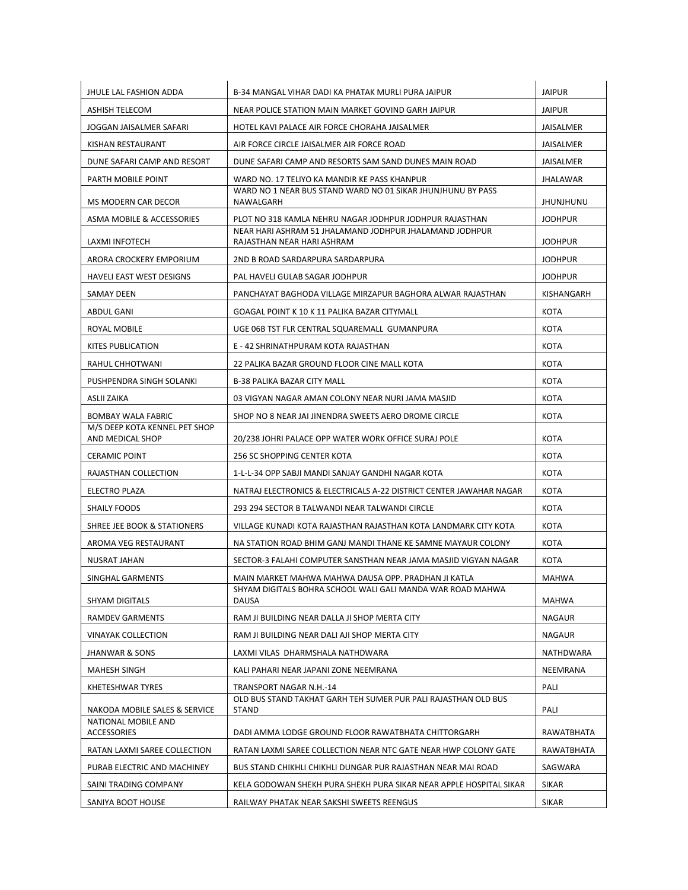| JHULE LAL FASHION ADDA                            | B-34 MANGAL VIHAR DADI KA PHATAK MURLI PURA JAIPUR                                    | <b>JAIPUR</b>     |
|---------------------------------------------------|---------------------------------------------------------------------------------------|-------------------|
| ASHISH TELECOM                                    | NEAR POLICE STATION MAIN MARKET GOVIND GARH JAIPUR                                    | <b>JAIPUR</b>     |
| JOGGAN JAISALMER SAFARI                           | HOTEL KAVI PALACE AIR FORCE CHORAHA JAISALMER                                         | JAISALMER         |
| KISHAN RESTAURANT                                 | AIR FORCE CIRCLE JAISALMER AIR FORCE ROAD                                             | JAISALMER         |
| DUNE SAFARI CAMP AND RESORT                       | DUNE SAFARI CAMP AND RESORTS SAM SAND DUNES MAIN ROAD                                 | JAISALMER         |
| PARTH MOBILE POINT                                | WARD NO. 17 TELIYO KA MANDIR KE PASS KHANPUR                                          | JHALAWAR          |
| MS MODERN CAR DECOR                               | WARD NO 1 NEAR BUS STAND WARD NO 01 SIKAR JHUNJHUNU BY PASS<br>NAWALGARH              | <b>UNUHLINUHL</b> |
| ASMA MOBILE & ACCESSORIES                         | PLOT NO 318 KAMLA NEHRU NAGAR JODHPUR JODHPUR RAJASTHAN                               | <b>JODHPUR</b>    |
| LAXMI INFOTECH                                    | NEAR HARI ASHRAM 51 JHALAMAND JODHPUR JHALAMAND JODHPUR<br>RAJASTHAN NEAR HARI ASHRAM | <b>JODHPUR</b>    |
| ARORA CROCKERY EMPORIUM                           | 2ND B ROAD SARDARPURA SARDARPURA                                                      | <b>JODHPUR</b>    |
| <b>HAVELI EAST WEST DESIGNS</b>                   | PAL HAVELI GULAB SAGAR JODHPUR                                                        | <b>JODHPUR</b>    |
| SAMAY DEEN                                        | PANCHAYAT BAGHODA VILLAGE MIRZAPUR BAGHORA ALWAR RAJASTHAN                            | KISHANGARH        |
| ABDUL GANI                                        | GOAGAL POINT K 10 K 11 PALIKA BAZAR CITYMALL                                          | KOTA              |
| ROYAL MOBILE                                      | UGE 06B TST FLR CENTRAL SQUAREMALL GUMANPURA                                          | KOTA              |
| KITES PUBLICATION                                 | E - 42 SHRINATHPURAM KOTA RAJASTHAN                                                   | <b>KOTA</b>       |
| RAHUL CHHOTWANI                                   | 22 PALIKA BAZAR GROUND FLOOR CINE MALL KOTA                                           | KOTA              |
| PUSHPENDRA SINGH SOLANKI                          | <b>B-38 PALIKA BAZAR CITY MALL</b>                                                    | KOTA              |
| ASLII ZAIKA                                       | 03 VIGYAN NAGAR AMAN COLONY NEAR NURI JAMA MASJID                                     | KOTA              |
| <b>BOMBAY WALA FABRIC</b>                         | SHOP NO 8 NEAR JAI JINENDRA SWEETS AERO DROME CIRCLE                                  | KOTA              |
| M/S DEEP KOTA KENNEL PET SHOP<br>AND MEDICAL SHOP | 20/238 JOHRI PALACE OPP WATER WORK OFFICE SURAJ POLE                                  | KOTA              |
| <b>CERAMIC POINT</b>                              | 256 SC SHOPPING CENTER KOTA                                                           | KOTA              |
| RAJASTHAN COLLECTION                              | 1-L-L-34 OPP SABJI MANDI SANJAY GANDHI NAGAR KOTA                                     | KOTA              |
| ELECTRO PLAZA                                     | NATRAJ ELECTRONICS & ELECTRICALS A-22 DISTRICT CENTER JAWAHAR NAGAR                   | KOTA              |
| SHAILY FOODS                                      | 293 294 SECTOR B TALWANDI NEAR TALWANDI CIRCLE                                        | KOTA              |
| SHREE JEE BOOK & STATIONERS                       | VILLAGE KUNADI KOTA RAJASTHAN RAJASTHAN KOTA LANDMARK CITY KOTA                       | KOTA              |
| AROMA VEG RESTAURANT                              | NA STATION ROAD BHIM GANJ MANDI THANE KE SAMNE MAYAUR COLONY                          | <b>KOTA</b>       |
| NUSRAT JAHAN                                      | SECTOR-3 FALAHI COMPUTER SANSTHAN NEAR JAMA MASJID VIGYAN NAGAR                       | KOTA              |
| SINGHAL GARMENTS                                  | MAIN MARKET MAHWA MAHWA DAUSA OPP. PRADHAN JI KATLA                                   | <b>MAHWA</b>      |
| <b>SHYAM DIGITALS</b>                             | SHYAM DIGITALS BOHRA SCHOOL WALI GALI MANDA WAR ROAD MAHWA<br>DAUSA                   | MAHWA             |
| <b>RAMDEV GARMENTS</b>                            | RAM JI BUILDING NEAR DALLA JI SHOP MERTA CITY                                         | NAGAUR            |
| <b>VINAYAK COLLECTION</b>                         | RAM JI BUILDING NEAR DALI AJI SHOP MERTA CITY                                         | NAGAUR            |
| <b>JHANWAR &amp; SONS</b>                         | LAXMI VILAS DHARMSHALA NATHDWARA                                                      | NATHDWARA         |
| <b>MAHESH SINGH</b>                               | KALI PAHARI NEAR JAPANI ZONE NEEMRANA                                                 | NEEMRANA          |
| KHETESHWAR TYRES                                  | TRANSPORT NAGAR N.H.-14                                                               | PALI              |
| NAKODA MOBILE SALES & SERVICE                     | OLD BUS STAND TAKHAT GARH TEH SUMER PUR PALI RAJASTHAN OLD BUS<br><b>STAND</b>        | PALI              |
| NATIONAL MOBILE AND<br>ACCESSORIES                | DADI AMMA LODGE GROUND FLOOR RAWATBHATA CHITTORGARH                                   | RAWATBHATA        |
| RATAN LAXMI SAREE COLLECTION                      | RATAN LAXMI SAREE COLLECTION NEAR NTC GATE NEAR HWP COLONY GATE                       | RAWATBHATA        |
| PURAB ELECTRIC AND MACHINEY                       | BUS STAND CHIKHLI CHIKHLI DUNGAR PUR RAJASTHAN NEAR MAI ROAD                          | SAGWARA           |
| SAINI TRADING COMPANY                             | KELA GODOWAN SHEKH PURA SHEKH PURA SIKAR NEAR APPLE HOSPITAL SIKAR                    | <b>SIKAR</b>      |
| SANIYA BOOT HOUSE                                 | RAILWAY PHATAK NEAR SAKSHI SWEETS REENGUS                                             | <b>SIKAR</b>      |